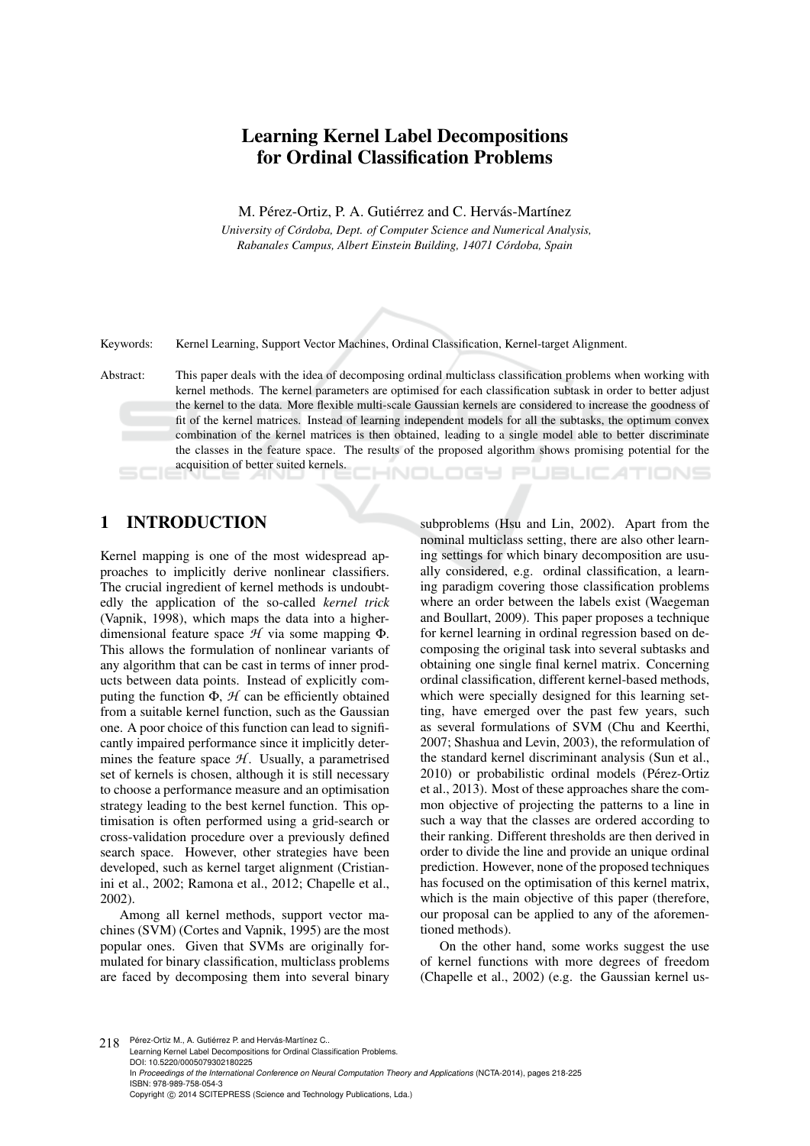# Learning Kernel Label Decompositions for Ordinal Classification Problems

M. Pérez-Ortiz, P. A. Gutiérrez and C. Hervás-Martínez

*University of Cordoba, Dept. of Computer Science and Numerical Analysis, ´ Rabanales Campus, Albert Einstein Building, 14071 Cordoba, Spain ´*

Keywords: Kernel Learning, Support Vector Machines, Ordinal Classification, Kernel-target Alignment.

Abstract: This paper deals with the idea of decomposing ordinal multiclass classification problems when working with kernel methods. The kernel parameters are optimised for each classification subtask in order to better adjust the kernel to the data. More flexible multi-scale Gaussian kernels are considered to increase the goodness of fit of the kernel matrices. Instead of learning independent models for all the subtasks, the optimum convex combination of the kernel matrices is then obtained, leading to a single model able to better discriminate the classes in the feature space. The results of the proposed algorithm shows promising potential for the acquisition of better suited kernels. HNOLOGY PUBLIC ATIONS

# 1 INTRODUCTION

Kernel mapping is one of the most widespread approaches to implicitly derive nonlinear classifiers. The crucial ingredient of kernel methods is undoubtedly the application of the so-called *kernel trick* (Vapnik, 1998), which maps the data into a higherdimensional feature space *H* via some mapping Φ. This allows the formulation of nonlinear variants of any algorithm that can be cast in terms of inner products between data points. Instead of explicitly computing the function  $\Phi$ ,  $\mathcal{H}$  can be efficiently obtained from a suitable kernel function, such as the Gaussian one. A poor choice of this function can lead to significantly impaired performance since it implicitly determines the feature space  $H$ . Usually, a parametrised set of kernels is chosen, although it is still necessary to choose a performance measure and an optimisation strategy leading to the best kernel function. This optimisation is often performed using a grid-search or cross-validation procedure over a previously defined search space. However, other strategies have been developed, such as kernel target alignment (Cristianini et al., 2002; Ramona et al., 2012; Chapelle et al., 2002).

Among all kernel methods, support vector machines (SVM) (Cortes and Vapnik, 1995) are the most popular ones. Given that SVMs are originally formulated for binary classification, multiclass problems are faced by decomposing them into several binary

subproblems (Hsu and Lin, 2002). Apart from the nominal multiclass setting, there are also other learning settings for which binary decomposition are usually considered, e.g. ordinal classification, a learning paradigm covering those classification problems where an order between the labels exist (Waegeman and Boullart, 2009). This paper proposes a technique for kernel learning in ordinal regression based on decomposing the original task into several subtasks and obtaining one single final kernel matrix. Concerning ordinal classification, different kernel-based methods, which were specially designed for this learning setting, have emerged over the past few years, such as several formulations of SVM (Chu and Keerthi, 2007; Shashua and Levin, 2003), the reformulation of the standard kernel discriminant analysis (Sun et al., 2010) or probabilistic ordinal models (Pérez-Ortiz et al., 2013). Most of these approaches share the common objective of projecting the patterns to a line in such a way that the classes are ordered according to their ranking. Different thresholds are then derived in order to divide the line and provide an unique ordinal prediction. However, none of the proposed techniques has focused on the optimisation of this kernel matrix, which is the main objective of this paper (therefore, our proposal can be applied to any of the aforementioned methods).

On the other hand, some works suggest the use of kernel functions with more degrees of freedom (Chapelle et al., 2002) (e.g. the Gaussian kernel us-

218 Pérez-Ortiz M., A. Gutiérrez P. and Hervás-Martínez C. Learning Kernel Label Decompositions for Ordinal Classification Problems. DOI: 10.5220/0005079302180225 In *Proceedings of the International Conference on Neural Computation Theory and Applications* (NCTA-2014), pages 218-225 ISBN: 978-989-758-054-3 Copyright © 2014 SCITEPRESS (Science and Technology Publications, Lda.)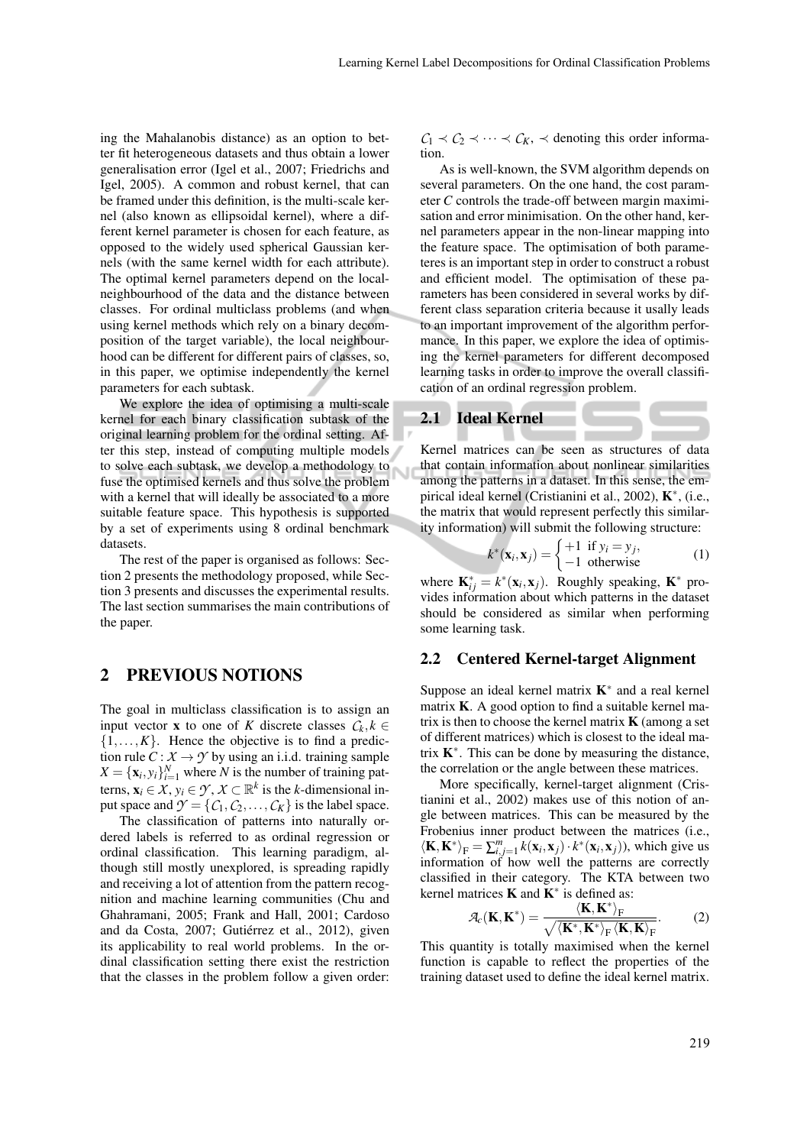ing the Mahalanobis distance) as an option to better fit heterogeneous datasets and thus obtain a lower generalisation error (Igel et al., 2007; Friedrichs and Igel, 2005). A common and robust kernel, that can be framed under this definition, is the multi-scale kernel (also known as ellipsoidal kernel), where a different kernel parameter is chosen for each feature, as opposed to the widely used spherical Gaussian kernels (with the same kernel width for each attribute). The optimal kernel parameters depend on the localneighbourhood of the data and the distance between classes. For ordinal multiclass problems (and when using kernel methods which rely on a binary decomposition of the target variable), the local neighbourhood can be different for different pairs of classes, so, in this paper, we optimise independently the kernel parameters for each subtask.

We explore the idea of optimising a multi-scale kernel for each binary classification subtask of the original learning problem for the ordinal setting. After this step, instead of computing multiple models to solve each subtask, we develop a methodology to fuse the optimised kernels and thus solve the problem with a kernel that will ideally be associated to a more suitable feature space. This hypothesis is supported by a set of experiments using 8 ordinal benchmark datasets.

The rest of the paper is organised as follows: Section 2 presents the methodology proposed, while Section 3 presents and discusses the experimental results. The last section summarises the main contributions of the paper.

### 2 PREVIOUS NOTIONS

The goal in multiclass classification is to assign an input vector **x** to one of *K* discrete classes  $C_k, k \in$  $\{1,\ldots,K\}$ . Hence the objective is to find a prediction rule  $C: X \rightarrow Y$  by using an i.i.d. training sample  $X = {\mathbf{x}_i, y_i}_{i=1}^N$  where *N* is the number of training patterns,  $\mathbf{x}_i \in \mathcal{X}, y_i \in \mathcal{Y}, \mathcal{X} \subset \mathbb{R}^k$  is the *k*-dimensional input space and  $\mathcal{Y} = \{C_1, C_2, \ldots, C_K\}$  is the label space.

The classification of patterns into naturally ordered labels is referred to as ordinal regression or ordinal classification. This learning paradigm, although still mostly unexplored, is spreading rapidly and receiving a lot of attention from the pattern recognition and machine learning communities (Chu and Ghahramani, 2005; Frank and Hall, 2001; Cardoso and da Costa, 2007; Gutiérrez et al., 2012), given its applicability to real world problems. In the ordinal classification setting there exist the restriction that the classes in the problem follow a given order:

 $C_1 \prec C_2 \prec \cdots \prec C_K$ ,  $\prec$  denoting this order information.

As is well-known, the SVM algorithm depends on several parameters. On the one hand, the cost parameter *C* controls the trade-off between margin maximisation and error minimisation. On the other hand, kernel parameters appear in the non-linear mapping into the feature space. The optimisation of both parameteres is an important step in order to construct a robust and efficient model. The optimisation of these parameters has been considered in several works by different class separation criteria because it usally leads to an important improvement of the algorithm performance. In this paper, we explore the idea of optimising the kernel parameters for different decomposed learning tasks in order to improve the overall classification of an ordinal regression problem.

### 2.1 Ideal Kernel

Kernel matrices can be seen as structures of data that contain information about nonlinear similarities among the patterns in a dataset. In this sense, the empirical ideal kernel (Cristianini et al., 2002), K<sup>∗</sup> , (i.e., the matrix that would represent perfectly this similarity information) will submit the following structure:

$$
k^*(\mathbf{x}_i, \mathbf{x}_j) = \begin{cases} +1 & \text{if } y_i = y_j, \\ -1 & \text{otherwise} \end{cases}
$$
 (1)

where  $\mathbf{K}_{ij}^* = k^*(\mathbf{x}_i, \mathbf{x}_j)$ . Roughly speaking,  $\mathbf{K}^*$  provides information about which patterns in the dataset should be considered as similar when performing some learning task.

#### 2.2 Centered Kernel-target Alignment

Suppose an ideal kernel matrix  $K^*$  and a real kernel matrix  $K$ . A good option to find a suitable kernel matrix is then to choose the kernel matrix  $\bf{K}$  (among a set of different matrices) which is closest to the ideal matrix  $K^*$ . This can be done by measuring the distance, the correlation or the angle between these matrices.

More specifically, kernel-target alignment (Cristianini et al., 2002) makes use of this notion of angle between matrices. This can be measured by the Frobenius inner product between the matrices (i.e.,  $\langle \mathbf{K}, \mathbf{K}^* \rangle_F = \sum_{i,j=1}^m k(\mathbf{x}_i, \mathbf{x}_j) \cdot k^*(\mathbf{x}_i, \mathbf{x}_j)$ , which give us information of how well the patterns are correctly classified in their category. The KTA between two kernel matrices  $\bf{K}$  and  $\bf{K}^*$  is defined as:

$$
\mathcal{A}_{c}(\mathbf{K}, \mathbf{K}^{*}) = \frac{\langle \mathbf{K}, \mathbf{K}^{*} \rangle_{\mathrm{F}}}{\sqrt{\langle \mathbf{K}^{*}, \mathbf{K}^{*} \rangle_{\mathrm{F}} \langle \mathbf{K}, \mathbf{K} \rangle_{\mathrm{F}}}}.
$$
(2)

This quantity is totally maximised when the kernel function is capable to reflect the properties of the training dataset used to define the ideal kernel matrix.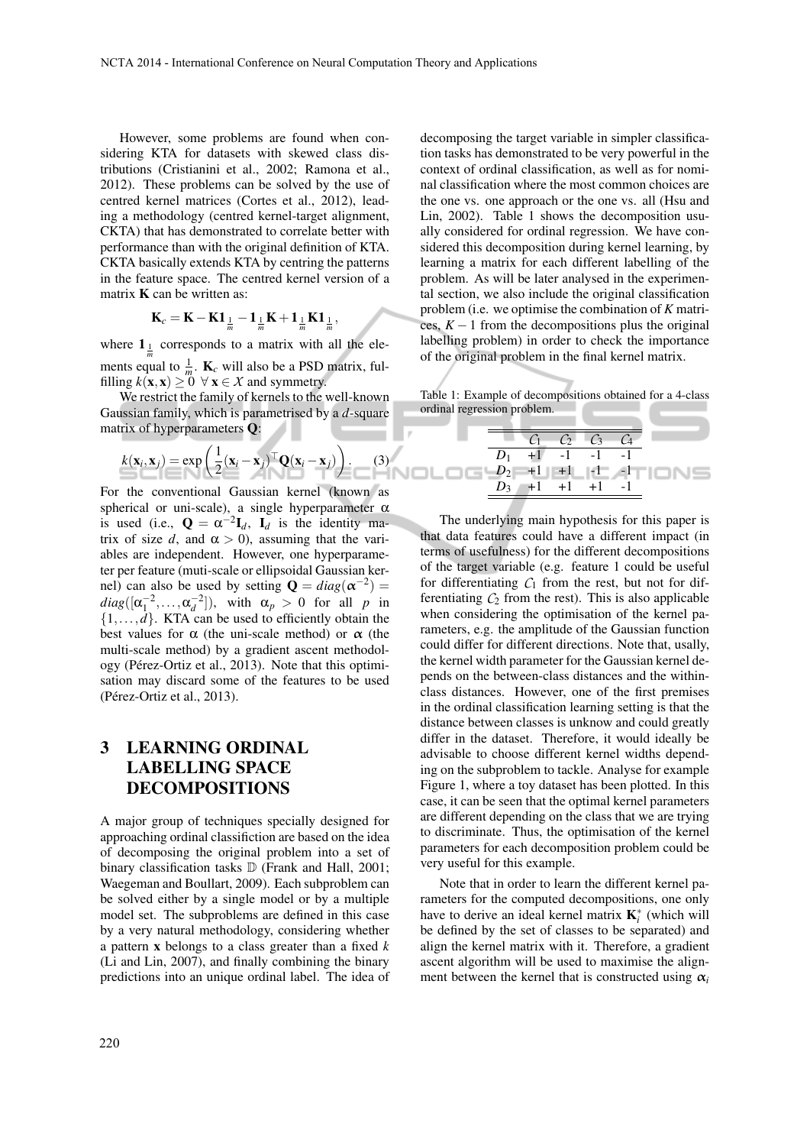However, some problems are found when considering KTA for datasets with skewed class distributions (Cristianini et al., 2002; Ramona et al., 2012). These problems can be solved by the use of centred kernel matrices (Cortes et al., 2012), leading a methodology (centred kernel-target alignment, CKTA) that has demonstrated to correlate better with performance than with the original definition of KTA. CKTA basically extends KTA by centring the patterns in the feature space. The centred kernel version of a matrix  $\bf{K}$  can be written as:

$$
\mathbf{K}_c = \mathbf{K} - \mathbf{K} \mathbf{1}_{\frac{1}{m}} - \mathbf{1}_{\frac{1}{m}} \mathbf{K} + \mathbf{1}_{\frac{1}{m}} \mathbf{K} \mathbf{1}_{\frac{1}{m}},
$$

where  $\mathbf{1}_{\frac{1}{m}}$  corresponds to a matrix with all the elements equal to  $\frac{1}{m}$ . **K**<sub>c</sub> will also be a PSD matrix, fulfilling  $k(\mathbf{x}, \mathbf{x}) \ge 0 \ \forall \mathbf{x} \in \mathcal{X}$  and symmetry.

We restrict the family of kernels to the well-known Gaussian family, which is parametrised by a *d*-square matrix of hyperparameters Q:

$$
k(\mathbf{x}_i, \mathbf{x}_j) = \exp\left(\frac{1}{2}(\mathbf{x}_i - \mathbf{x}_j)^{\top} \mathbf{Q}(\mathbf{x}_i - \mathbf{x}_j)\right).
$$
 (3)

For the conventional Gaussian kernel (known as spherical or uni-scale), a single hyperparameter  $\alpha$ is used (i.e.,  $\mathbf{Q} = \alpha^{-2} \mathbf{I}_d$ ,  $\mathbf{I}_d$  is the identity matrix of size *d*, and  $\alpha > 0$ , assuming that the variables are independent. However, one hyperparameter per feature (muti-scale or ellipsoidal Gaussian kernel) can also be used by setting  $\mathbf{Q} = diag(\mathbf{\alpha}^{-2}) =$  $diag([\alpha_1^{-2}, \ldots, \alpha_d^{-2}]),$  with  $\alpha_p > 0$  for all *p* in  $\{1,\ldots,d\}$ . KTA can be used to efficiently obtain the best values for  $\alpha$  (the uni-scale method) or  $\alpha$  (the multi-scale method) by a gradient ascent methodology (Pérez-Ortiz et al., 2013). Note that this optimisation may discard some of the features to be used (Pérez-Ortiz et al., 2013).

# 3 LEARNING ORDINAL LABELLING SPACE DECOMPOSITIONS

A major group of techniques specially designed for approaching ordinal classifiction are based on the idea of decomposing the original problem into a set of binary classification tasks  $D$  (Frank and Hall, 2001; Waegeman and Boullart, 2009). Each subproblem can be solved either by a single model or by a multiple model set. The subproblems are defined in this case by a very natural methodology, considering whether a pattern x belongs to a class greater than a fixed *k* (Li and Lin, 2007), and finally combining the binary predictions into an unique ordinal label. The idea of

220

decomposing the target variable in simpler classification tasks has demonstrated to be very powerful in the context of ordinal classification, as well as for nominal classification where the most common choices are the one vs. one approach or the one vs. all (Hsu and Lin, 2002). Table 1 shows the decomposition usually considered for ordinal regression. We have considered this decomposition during kernel learning, by learning a matrix for each different labelling of the problem. As will be later analysed in the experimental section, we also include the original classification problem (i.e. we optimise the combination of *K* matrices,  $K - 1$  from the decompositions plus the original labelling problem) in order to check the importance of the original problem in the final kernel matrix.

Table 1: Example of decompositions obtained for a 4-class ordinal regression problem.

|  | $C_1$ $C_2$ $C_3$ $C_4$ |  |                                                                                            |
|--|-------------------------|--|--------------------------------------------------------------------------------------------|
|  | $D_1$ +1 -1 -1 -1       |  |                                                                                            |
|  |                         |  | $\Box$ G $\Box P_2$ $\rightarrow$ $\Box$ $\Box$ $\bot$ $\bot$ $\land$ $\Box$ $\Box$ $\Box$ |
|  | $D_3$ +1 +1 +1 -1       |  |                                                                                            |

The underlying main hypothesis for this paper is that data features could have a different impact (in terms of usefulness) for the different decompositions of the target variable (e.g. feature 1 could be useful for differentiating  $C_1$  from the rest, but not for differentiating  $C_2$  from the rest). This is also applicable when considering the optimisation of the kernel parameters, e.g. the amplitude of the Gaussian function could differ for different directions. Note that, usally, the kernel width parameter for the Gaussian kernel depends on the between-class distances and the withinclass distances. However, one of the first premises in the ordinal classification learning setting is that the distance between classes is unknow and could greatly differ in the dataset. Therefore, it would ideally be advisable to choose different kernel widths depending on the subproblem to tackle. Analyse for example Figure 1, where a toy dataset has been plotted. In this case, it can be seen that the optimal kernel parameters are different depending on the class that we are trying to discriminate. Thus, the optimisation of the kernel parameters for each decomposition problem could be very useful for this example.

Note that in order to learn the different kernel parameters for the computed decompositions, one only have to derive an ideal kernel matrix  $K_i^*$  (which will be defined by the set of classes to be separated) and align the kernel matrix with it. Therefore, a gradient ascent algorithm will be used to maximise the alignment between the kernel that is constructed using  $\alpha_i$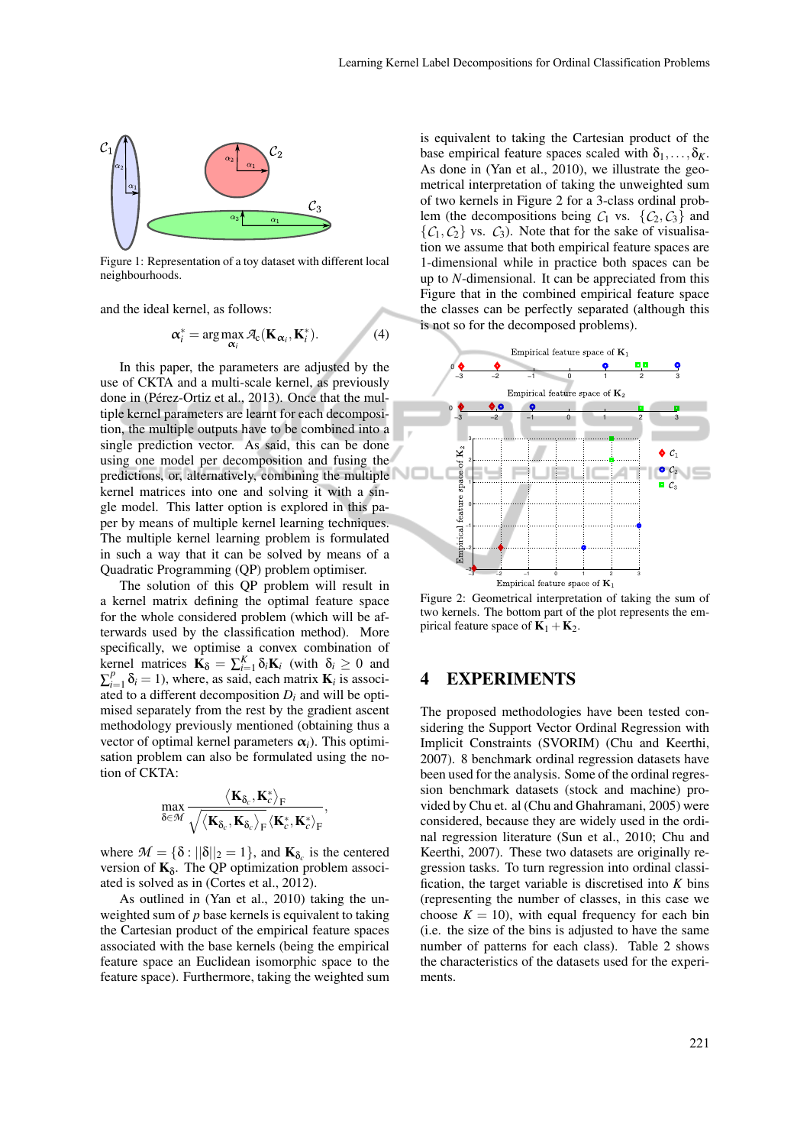

Figure 1: Representation of a toy dataset with different local neighbourhoods.

and the ideal kernel, as follows:

$$
\boldsymbol{\alpha}_i^* = \arg \max_{\boldsymbol{\alpha}_i} \mathcal{A}_c(\mathbf{K}_{\boldsymbol{\alpha}_i}, \mathbf{K}_i^*).
$$
 (4)

In this paper, the parameters are adjusted by the use of CKTA and a multi-scale kernel, as previously done in (Pérez-Ortiz et al., 2013). Once that the multiple kernel parameters are learnt for each decomposition, the multiple outputs have to be combined into a single prediction vector. As said, this can be done using one model per decomposition and fusing the predictions, or, alternatively, combining the multiple kernel matrices into one and solving it with a single model. This latter option is explored in this paper by means of multiple kernel learning techniques. The multiple kernel learning problem is formulated in such a way that it can be solved by means of a Quadratic Programming (QP) problem optimiser.

The solution of this QP problem will result in a kernel matrix defining the optimal feature space for the whole considered problem (which will be afterwards used by the classification method). More specifically, we optimise a convex combination of kernel matrices  $\mathbf{K}_{\delta} = \sum_{i=1}^{K} \delta_i \mathbf{K}_i$  (with  $\delta_i \geq 0$  and  $\sum_{i=1}^{p} \delta_i = 1$ ), where, as said, each matrix **K**<sub>*i*</sub> is associated to a different decomposition  $D_i$  and will be optimised separately from the rest by the gradient ascent methodology previously mentioned (obtaining thus a vector of optimal kernel parameters  $\alpha_i$ ). This optimisation problem can also be formulated using the notion of CKTA:

$$
\max_{\delta \in \mathcal{M}} \frac{\left\langle \boldsymbol{K}_{\delta_c}, \boldsymbol{K}_c^* \right\rangle_F}{\sqrt{\left\langle \boldsymbol{K}_{\delta_c}, \boldsymbol{K}_{\delta_c} \right\rangle_F} \left\langle \boldsymbol{K}_c^*, \boldsymbol{K}_c^* \right\rangle_F},
$$

where  $\mathcal{M} = \{\delta : ||\delta||_2 = 1\}$ , and  $\mathbf{K}_{\delta_c}$  is the centered version of  $\mathbf{K}_{\delta}$ . The QP optimization problem associated is solved as in (Cortes et al., 2012).

As outlined in (Yan et al., 2010) taking the unweighted sum of *p* base kernels is equivalent to taking the Cartesian product of the empirical feature spaces associated with the base kernels (being the empirical feature space an Euclidean isomorphic space to the feature space). Furthermore, taking the weighted sum is equivalent to taking the Cartesian product of the base empirical feature spaces scaled with  $\delta_1, \ldots, \delta_K$ . As done in (Yan et al., 2010), we illustrate the geometrical interpretation of taking the unweighted sum of two kernels in Figure 2 for a 3-class ordinal problem (the decompositions being  $C_1$  vs.  $\{C_2, C_3\}$  and  $\{C_1, C_2\}$  vs.  $C_3$ ). Note that for the sake of visualisation we assume that both empirical feature spaces are 1-dimensional while in practice both spaces can be up to *N*-dimensional. It can be appreciated from this Figure that in the combined empirical feature space the classes can be perfectly separated (although this is not so for the decomposed problems).



Figure 2: Geometrical interpretation of taking the sum of two kernels. The bottom part of the plot represents the empirical feature space of  $K_1 + K_2$ .

# 4 EXPERIMENTS

The proposed methodologies have been tested considering the Support Vector Ordinal Regression with Implicit Constraints (SVORIM) (Chu and Keerthi, 2007). 8 benchmark ordinal regression datasets have been used for the analysis. Some of the ordinal regression benchmark datasets (stock and machine) provided by Chu et. al (Chu and Ghahramani, 2005) were considered, because they are widely used in the ordinal regression literature (Sun et al., 2010; Chu and Keerthi, 2007). These two datasets are originally regression tasks. To turn regression into ordinal classification, the target variable is discretised into *K* bins (representing the number of classes, in this case we choose  $K = 10$ , with equal frequency for each bin (i.e. the size of the bins is adjusted to have the same number of patterns for each class). Table 2 shows the characteristics of the datasets used for the experiments.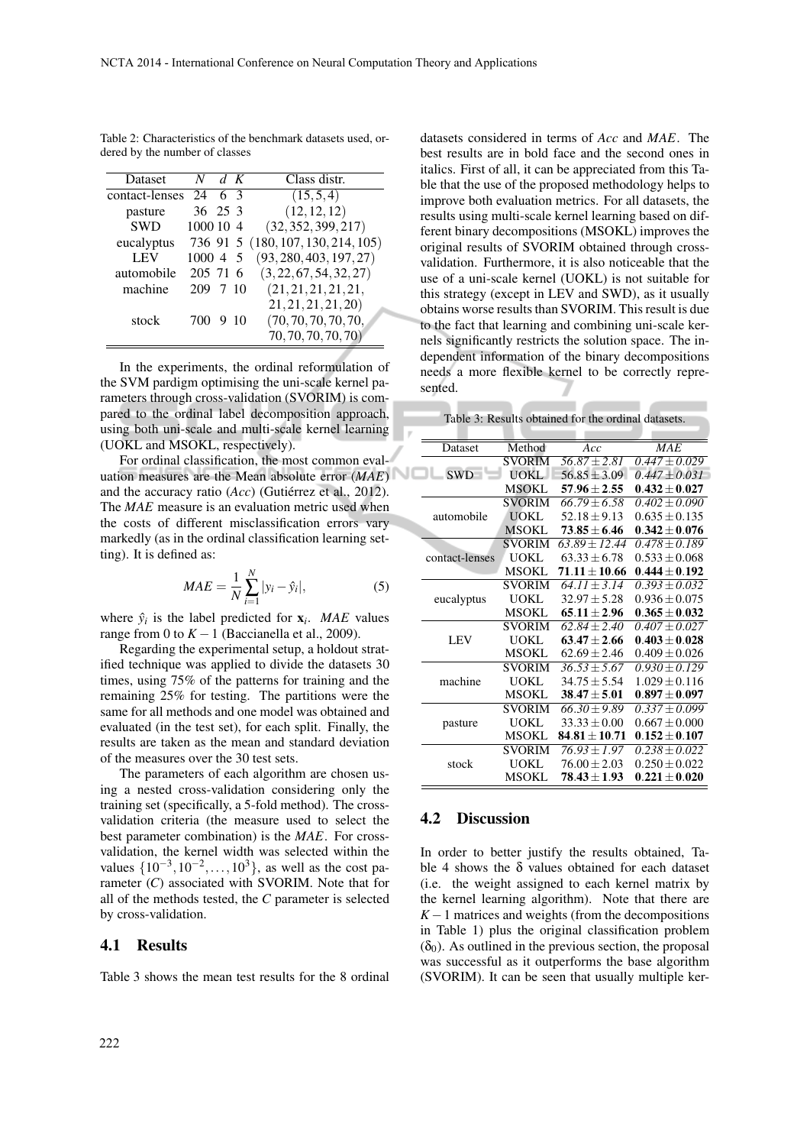| Table 2: Characteristics of the benchmark datasets used, or- |  |  |
|--------------------------------------------------------------|--|--|
| dered by the number of classes                               |  |  |

| Dataset        | N         | d K |      | Class distr.              |
|----------------|-----------|-----|------|---------------------------|
| contact-lenses | 24        | 63  |      | (15,5,4)                  |
| pasture        | 36 25 3   |     |      | (12, 12, 12)              |
| <b>SWD</b>     | 1000 10 4 |     |      | (32, 352, 399, 217)       |
| eucalyptus     | 736 91 5  |     |      | (180, 107, 130, 214, 105) |
| LEV            | 1000 4    |     | - 5  | (93, 280, 403, 197, 27)   |
| automobile     | 205 71 6  |     |      | (3, 22, 67, 54, 32, 27)   |
| machine        | 209       |     | 7 10 | (21, 21, 21, 21, 21,      |
|                |           |     |      | 21, 21, 21, 21, 20        |
| stock          | 700       |     | 9 10 | (70, 70, 70, 70, 70,      |
|                |           |     |      | 70, 70, 70, 70, 70)       |

In the experiments, the ordinal reformulation of the SVM pardigm optimising the uni-scale kernel parameters through cross-validation (SVORIM) is compared to the ordinal label decomposition approach, using both uni-scale and multi-scale kernel learning (UOKL and MSOKL, respectively).

For ordinal classification, the most common evaluation measures are the Mean absolute error (*MAE*) and the accuracy ratio (*Acc*) (Gutiérrez et al., 2012). The *MAE* measure is an evaluation metric used when the costs of different misclassification errors vary markedly (as in the ordinal classification learning setting). It is defined as:

$$
MAE = \frac{1}{N} \sum_{i=1}^{N} |y_i - \hat{y}_i|,
$$
 (5)

where  $\hat{y}_i$  is the label predicted for  $\mathbf{x}_i$ . *MAE* values range from 0 to  $K - 1$  (Baccianella et al., 2009).

Regarding the experimental setup, a holdout stratified technique was applied to divide the datasets 30 times, using 75% of the patterns for training and the remaining 25% for testing. The partitions were the same for all methods and one model was obtained and evaluated (in the test set), for each split. Finally, the results are taken as the mean and standard deviation of the measures over the 30 test sets.

The parameters of each algorithm are chosen using a nested cross-validation considering only the training set (specifically, a 5-fold method). The crossvalidation criteria (the measure used to select the best parameter combination) is the *MAE*. For crossvalidation, the kernel width was selected within the values  $\{10^{-3}, 10^{-2}, \ldots, 10^{3}\}$ , as well as the cost parameter (*C*) associated with SVORIM. Note that for all of the methods tested, the *C* parameter is selected by cross-validation.

#### 4.1 Results

Table 3 shows the mean test results for the 8 ordinal

datasets considered in terms of *Acc* and *MAE*. The best results are in bold face and the second ones in italics. First of all, it can be appreciated from this Table that the use of the proposed methodology helps to improve both evaluation metrics. For all datasets, the results using multi-scale kernel learning based on different binary decompositions (MSOKL) improves the original results of SVORIM obtained through crossvalidation. Furthermore, it is also noticeable that the use of a uni-scale kernel (UOKL) is not suitable for this strategy (except in LEV and SWD), as it usually obtains worse results than SVORIM. This result is due to the fact that learning and combining uni-scale kernels significantly restricts the solution space. The independent information of the binary decompositions needs a more flexible kernel to be correctly represented.

Table 3: Results obtained for the ordinal datasets.

| Dataset        | Method        | Acc                     | <b>MAE</b>        |
|----------------|---------------|-------------------------|-------------------|
|                | <b>SVORIM</b> | $\sqrt{56.87 \pm 2.81}$ | $0.447 \pm 0.029$ |
| <b>SWD</b>     | UOKL          | $56.85 \pm 3.09$        | $0.447 + 0.031$   |
|                | <b>MSOKL</b>  | $57.96 + 2.55$          | $0.432 + 0.027$   |
|                | <b>SVORIM</b> | $66.79 + 6.58$          | $0.402 + 0.090$   |
| automobile     | <b>UOKL</b>   | $52.18 \pm 9.13$        | $0.635 + 0.135$   |
|                | <b>MSOKL</b>  | $73.85 + 6.46$          | $0.342 \pm 0.076$ |
|                | <b>SVORIM</b> | $63.89 + 12.44$         | $0.478 + 0.189$   |
| contact-lenses | <b>UOKL</b>   | $63.33 + 6.78$          | $0.533 + 0.068$   |
|                | <b>MSOKL</b>  | $71.11 + 10.66$         | $0.444 \pm 0.192$ |
|                | <b>SVORIM</b> | $64.11 + 3.14$          | $0.393 + 0.032$   |
| eucalyptus     | UOKL          | $32.97 + 5.28$          | $0.936 \pm 0.075$ |
|                | <b>MSOKL</b>  | $65.11 + 2.96$          | $0.365 + 0.032$   |
|                | <b>SVORIM</b> | $62.84 + 2.40$          | $0.407 \pm 0.027$ |
| LEV            | <b>UOKL</b>   | $63.47 + 2.66$          | $0.403 + 0.028$   |
|                | <b>MSOKL</b>  | $62.69 \pm 2.46$        | $0.409 \pm 0.026$ |
|                | <b>SVORIM</b> | $36.53 + 5.67$          | $0.930 + 0.129$   |
| machine        | <b>UOKL</b>   | $34.75 + 5.54$          | $1.029 + 0.116$   |
|                | <b>MSOKL</b>  | $38.47 + 5.01$          | $0.897 + 0.097$   |
|                | <b>SVORIM</b> | $66.30 \pm 9.89$        | $0.337 \pm 0.099$ |
| pasture        | <b>UOKL</b>   | $33.33 + 0.00$          | $0.667 + 0.000$   |
|                | <b>MSOKL</b>  | $84.81 + 10.71$         | $0.152 + 0.107$   |
|                | <b>SVORIM</b> | $76.93 + 1.97$          | $0.238 + 0.022$   |
| stock          | UOKL          | $76.00 + 2.03$          | $0.250 + 0.022$   |
|                | MSOKL         | $78.43 + 1.93$          | $0.221\pm0.020$   |

#### 4.2 Discussion

In order to better justify the results obtained, Table 4 shows the  $\delta$  values obtained for each dataset (i.e. the weight assigned to each kernel matrix by the kernel learning algorithm). Note that there are  $K-1$  matrices and weights (from the decompositions in Table 1) plus the original classification problem  $(\delta_0)$ . As outlined in the previous section, the proposal was successful as it outperforms the base algorithm (SVORIM). It can be seen that usually multiple ker-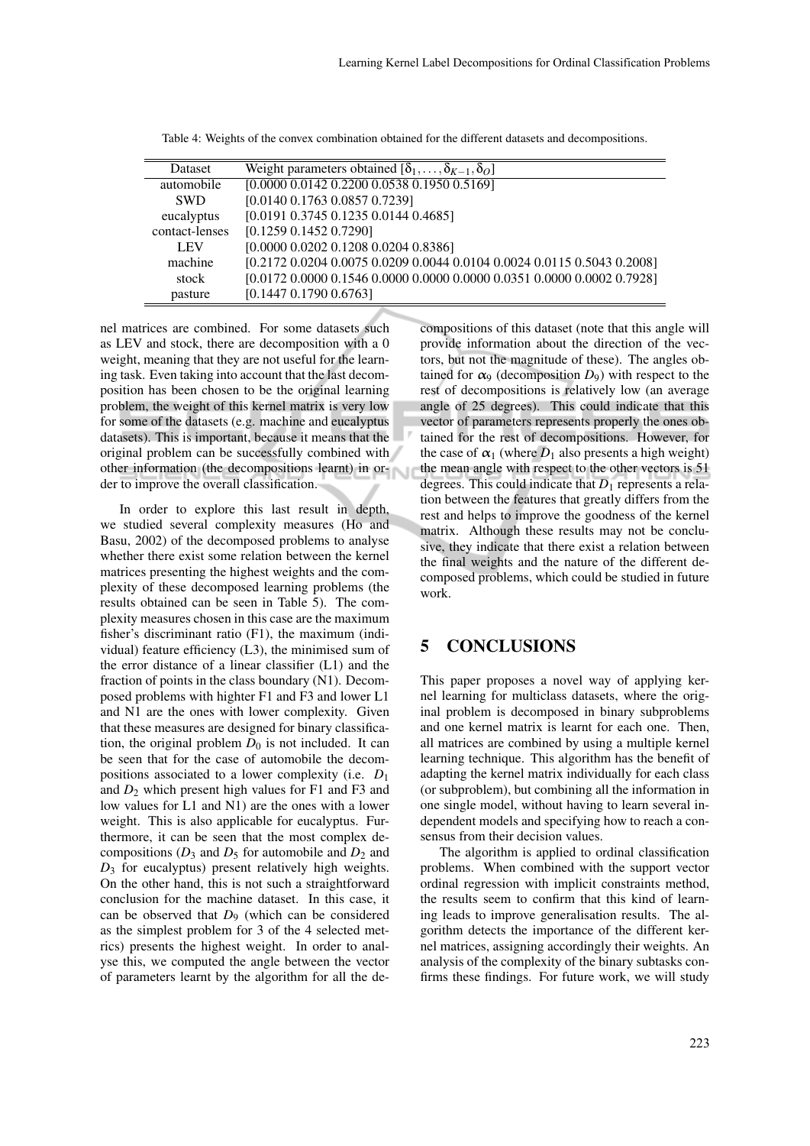| <b>Dataset</b> | Weight parameters obtained $[\delta_1, \ldots, \delta_{K-1}, \delta_O]$ |
|----------------|-------------------------------------------------------------------------|
| automobile     | $[0.0000\ 0.0142\ 0.2200\ 0.0538\ 0.1950\ 0.5169]$                      |
| <b>SWD</b>     | [0.0140 0.1763 0.0857 0.7239]                                           |
| eucalyptus     | [0.0191 0.3745 0.1235 0.0144 0.4685]                                    |
| contact-lenses | [0.1259 0.1452 0.7290]                                                  |
| <b>LEV</b>     | [0.0000 0.0202 0.1208 0.0204 0.8386]                                    |
| machine        | [0.2172 0.0204 0.0075 0.0209 0.0044 0.0104 0.0024 0.0115 0.5043 0.2008] |
| stock          | [0.0172 0.0000 0.1546 0.0000 0.0000 0.0000 0.0351 0.0000 0.0002 0.7928] |
| pasture        | $[0.1447 \; 0.1790 \; 0.6763]$                                          |

Table 4: Weights of the convex combination obtained for the different datasets and decompositions.

nel matrices are combined. For some datasets such as LEV and stock, there are decomposition with a 0 weight, meaning that they are not useful for the learning task. Even taking into account that the last decomposition has been chosen to be the original learning problem, the weight of this kernel matrix is very low for some of the datasets (e.g. machine and eucalyptus datasets). This is important, because it means that the original problem can be successfully combined with other information (the decompositions learnt) in order to improve the overall classification.

In order to explore this last result in depth, we studied several complexity measures (Ho and Basu, 2002) of the decomposed problems to analyse whether there exist some relation between the kernel matrices presenting the highest weights and the complexity of these decomposed learning problems (the results obtained can be seen in Table 5). The complexity measures chosen in this case are the maximum fisher's discriminant ratio (F1), the maximum (individual) feature efficiency (L3), the minimised sum of the error distance of a linear classifier (L1) and the fraction of points in the class boundary (N1). Decomposed problems with highter F1 and F3 and lower L1 and N1 are the ones with lower complexity. Given that these measures are designed for binary classification, the original problem  $D_0$  is not included. It can be seen that for the case of automobile the decompositions associated to a lower complexity (i.e. *D*<sup>1</sup> and  $D_2$  which present high values for F1 and F3 and low values for L1 and N1) are the ones with a lower weight. This is also applicable for eucalyptus. Furthermore, it can be seen that the most complex decompositions ( $D_3$  and  $D_5$  for automobile and  $D_2$  and *D*<sup>3</sup> for eucalyptus) present relatively high weights. On the other hand, this is not such a straightforward conclusion for the machine dataset. In this case, it can be observed that *D*<sup>9</sup> (which can be considered as the simplest problem for 3 of the 4 selected metrics) presents the highest weight. In order to analyse this, we computed the angle between the vector of parameters learnt by the algorithm for all the decompositions of this dataset (note that this angle will provide information about the direction of the vectors, but not the magnitude of these). The angles obtained for  $\alpha_9$  (decomposition  $D_9$ ) with respect to the rest of decompositions is relatively low (an average angle of 25 degrees). This could indicate that this vector of parameters represents properly the ones obtained for the rest of decompositions. However, for the case of  $\alpha_1$  (where  $D_1$  also presents a high weight) the mean angle with respect to the other vectors is 51 degrees. This could indicate that  $D_1$  represents a relation between the features that greatly differs from the rest and helps to improve the goodness of the kernel matrix. Although these results may not be conclusive, they indicate that there exist a relation between the final weights and the nature of the different decomposed problems, which could be studied in future work.

## 5 CONCLUSIONS

This paper proposes a novel way of applying kernel learning for multiclass datasets, where the original problem is decomposed in binary subproblems and one kernel matrix is learnt for each one. Then, all matrices are combined by using a multiple kernel learning technique. This algorithm has the benefit of adapting the kernel matrix individually for each class (or subproblem), but combining all the information in one single model, without having to learn several independent models and specifying how to reach a consensus from their decision values.

The algorithm is applied to ordinal classification problems. When combined with the support vector ordinal regression with implicit constraints method, the results seem to confirm that this kind of learning leads to improve generalisation results. The algorithm detects the importance of the different kernel matrices, assigning accordingly their weights. An analysis of the complexity of the binary subtasks confirms these findings. For future work, we will study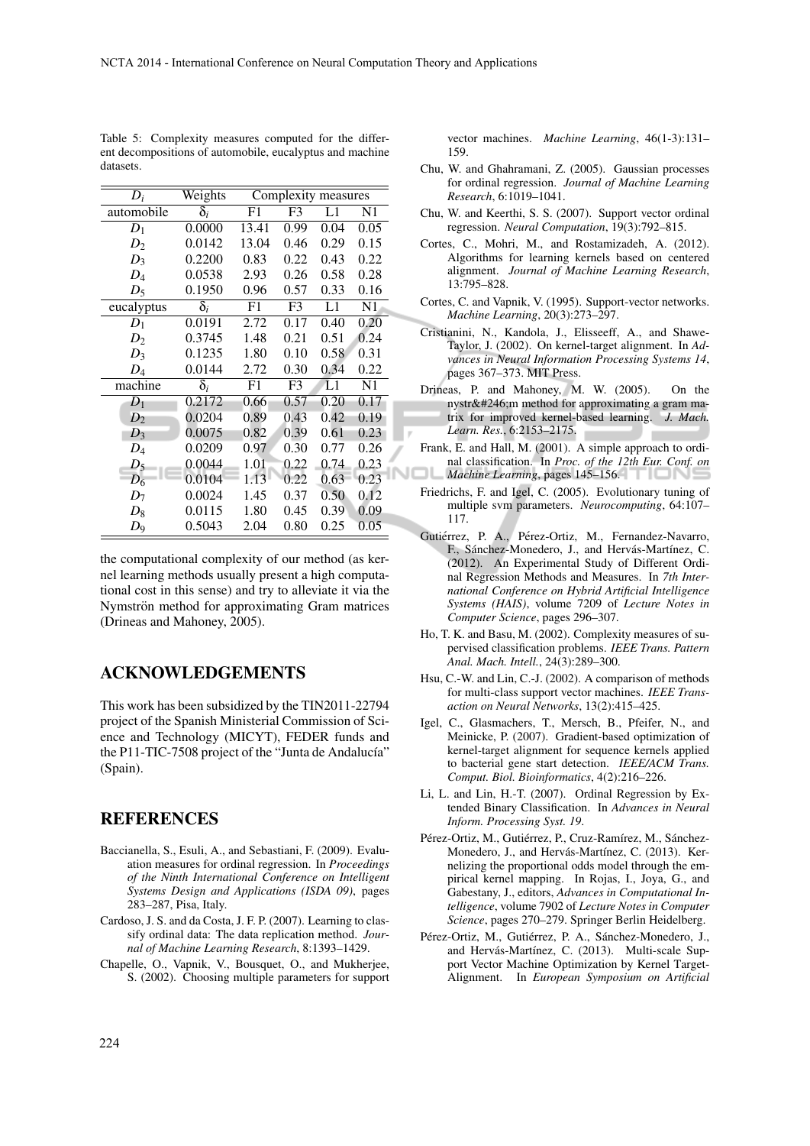| $D_i$          | Weights               | Complexity measures |                |      |                |  |
|----------------|-----------------------|---------------------|----------------|------|----------------|--|
| automobile     | $\overline{\delta_i}$ | F1                  | F3             | L1   | N1             |  |
| $D_1$          | 0.0000                | 13.41               | 0.99           | 0.04 | 0.05           |  |
| $D_2$          | 0.0142                | 13.04               | 0.46           | 0.29 | 0.15           |  |
| $D_3$          | 0.2200                | 0.83                | 0.22           | 0.43 | 0.22           |  |
| $D_4$          | 0.0538                | 2.93                | 0.26           | 0.58 | 0.28           |  |
| $D_5$          | 0.1950                | 0.96                | 0.57           | 0.33 | 0.16           |  |
| eucalyptus     | $\bar{\delta}_i$      | F1                  | F <sub>3</sub> | L1   | N <sub>1</sub> |  |
| $D_1$          | 0.0191                | 2.72                | 0.17           | 0.40 | 0.20           |  |
| D <sub>2</sub> | 0.3745                | 1.48                | 0.21           | 0.51 | 0.24           |  |
| $D_3$          | 0.1235                | 1.80                | 0.10           | 0.58 | 0.31           |  |
| $D_4$          | 0.0144                | 2.72                | 0.30           | 0.34 | 0.22           |  |
| machine        | $\bar{\delta}_i$      | F1                  | F <sub>3</sub> | L1   | N <sub>1</sub> |  |
| $D_1$          | 0.2172                | 0.66                | 0.57           | 0.20 | 0.17           |  |
| $D_2$          | 0.0204                | 0.89                | 0.43           | 0.42 | 0.19           |  |
| $D_3$          | 0.0075                | 0.82                | 0.39           | 0.61 | 0.23           |  |
| $D_4$          | 0.0209                | 0.97                | 0.30           | 0.77 | 0.26           |  |
| $D_5$          | 0.0044                | 1.01                | 0.22           | 0.74 | 0.23           |  |
| $D_6$          | 0.0104                | 1.13                | 0.22           | 0.63 | 0.23           |  |
| $D_7$          | 0.0024                | 1.45                | 0.37           | 0.50 | 0.12           |  |
| $D_8$          | 0.0115                | 1.80                | 0.45           | 0.39 | 0.09           |  |
| $D_9$          | 0.5043                | 2.04                | 0.80           | 0.25 | 0.05           |  |

Table 5: Complexity measures computed for the different decompositions of automobile, eucalyptus and machine datasets.

the computational complexity of our method (as kernel learning methods usually present a high computational cost in this sense) and try to alleviate it via the Nymströn method for approximating Gram matrices (Drineas and Mahoney, 2005).

## ACKNOWLEDGEMENTS

This work has been subsidized by the TIN2011-22794 project of the Spanish Ministerial Commission of Science and Technology (MICYT), FEDER funds and the P11-TIC-7508 project of the "Junta de Andalucía" (Spain).

## **REFERENCES**

- Baccianella, S., Esuli, A., and Sebastiani, F. (2009). Evaluation measures for ordinal regression. In *Proceedings of the Ninth International Conference on Intelligent Systems Design and Applications (ISDA 09)*, pages 283–287, Pisa, Italy.
- Cardoso, J. S. and da Costa, J. F. P. (2007). Learning to classify ordinal data: The data replication method. *Journal of Machine Learning Research*, 8:1393–1429.
- Chapelle, O., Vapnik, V., Bousquet, O., and Mukherjee, S. (2002). Choosing multiple parameters for support

vector machines. *Machine Learning*, 46(1-3):131– 159.

- Chu, W. and Ghahramani, Z. (2005). Gaussian processes for ordinal regression. *Journal of Machine Learning Research*, 6:1019–1041.
- Chu, W. and Keerthi, S. S. (2007). Support vector ordinal regression. *Neural Computation*, 19(3):792–815.
- Cortes, C., Mohri, M., and Rostamizadeh, A. (2012). Algorithms for learning kernels based on centered alignment. *Journal of Machine Learning Research*, 13:795–828.
- Cortes, C. and Vapnik, V. (1995). Support-vector networks. *Machine Learning*, 20(3):273–297.
- Cristianini, N., Kandola, J., Elisseeff, A., and Shawe-Taylor, J. (2002). On kernel-target alignment. In *Advances in Neural Information Processing Systems 14*, pages 367–373. MIT Press.
- Drineas, P. and Mahoney, M. W. (2005). On the nyström method for approximating a gram matrix for improved kernel-based learning. *J. Mach. Learn. Res.*, 6:2153–2175.
- Frank, E. and Hall, M. (2001). A simple approach to ordinal classification. In *Proc. of the 12th Eur. Conf. on* NOL *Machine Learning*, pages 145–156.
	- Friedrichs, F. and Igel, C. (2005). Evolutionary tuning of multiple svm parameters. *Neurocomputing*, 64:107– 117.
	- Gutiérrez, P. A., Pérez-Ortiz, M., Fernandez-Navarro, F., Sánchez-Monedero, J., and Hervás-Martínez, C. (2012). An Experimental Study of Different Ordinal Regression Methods and Measures. In *7th International Conference on Hybrid Artificial Intelligence Systems (HAIS)*, volume 7209 of *Lecture Notes in Computer Science*, pages 296–307.
	- Ho, T. K. and Basu, M. (2002). Complexity measures of supervised classification problems. *IEEE Trans. Pattern Anal. Mach. Intell.*, 24(3):289–300.
	- Hsu, C.-W. and Lin, C.-J. (2002). A comparison of methods for multi-class support vector machines. *IEEE Transaction on Neural Networks*, 13(2):415–425.
	- Igel, C., Glasmachers, T., Mersch, B., Pfeifer, N., and Meinicke, P. (2007). Gradient-based optimization of kernel-target alignment for sequence kernels applied to bacterial gene start detection. *IEEE/ACM Trans. Comput. Biol. Bioinformatics*, 4(2):216–226.
	- Li, L. and Lin, H.-T. (2007). Ordinal Regression by Extended Binary Classification. In *Advances in Neural Inform. Processing Syst. 19*.
	- Pérez-Ortiz, M., Gutiérrez, P., Cruz-Ramírez, M., Sánchez-Monedero, J., and Hervás-Martínez, C. (2013). Kernelizing the proportional odds model through the empirical kernel mapping. In Rojas, I., Joya, G., and Gabestany, J., editors, *Advances in Computational Intelligence*, volume 7902 of *Lecture Notes in Computer Science*, pages 270–279. Springer Berlin Heidelberg.
	- Pérez-Ortiz, M., Gutiérrez, P. A., Sánchez-Monedero, J., and Hervás-Martínez, C. (2013). Multi-scale Support Vector Machine Optimization by Kernel Target-Alignment. In *European Symposium on Artificial*